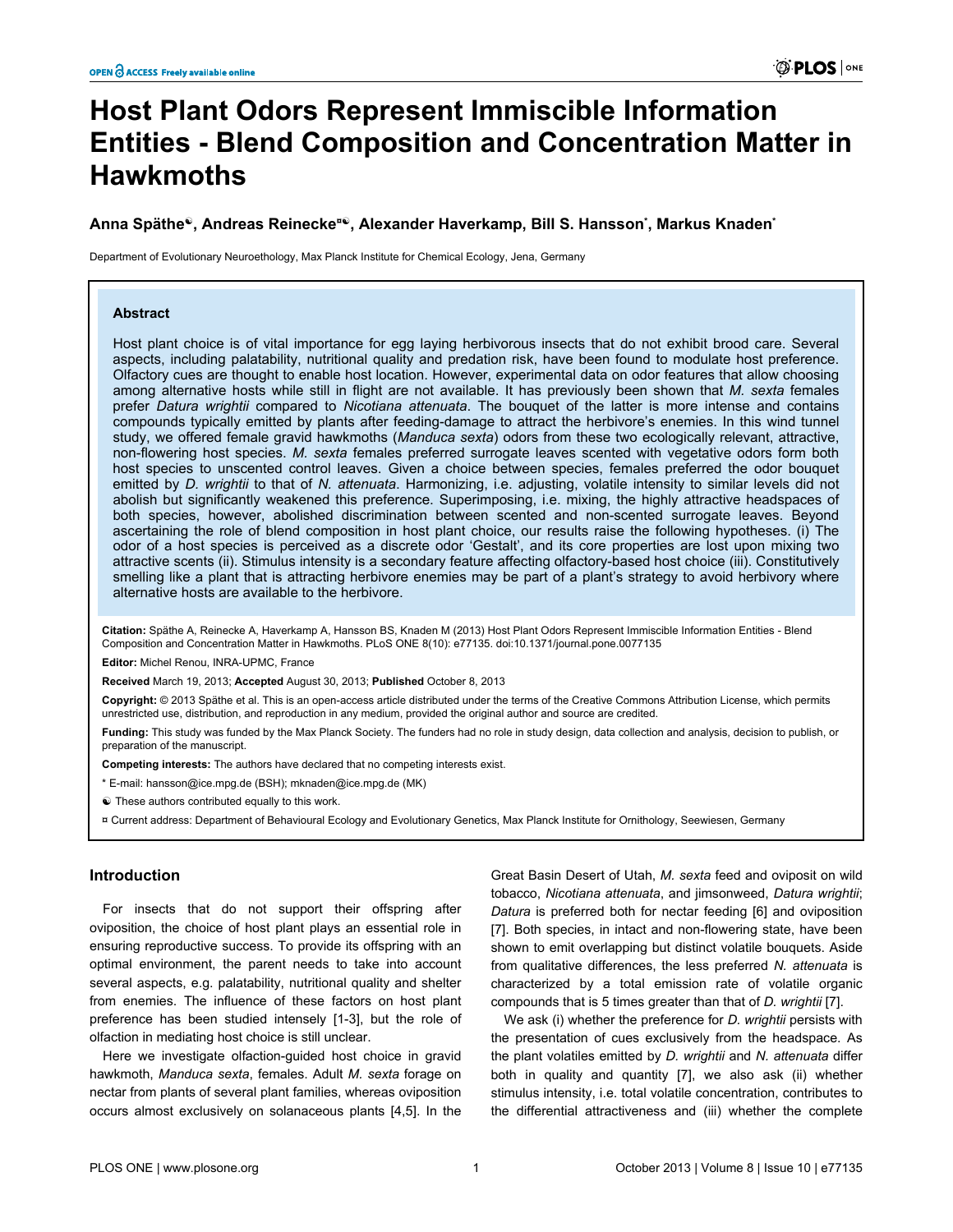# **Host Plant Odors Represent Immiscible Information Entities - Blend Composition and Concentration Matter in Hawkmoths**

## **Anna Späthe☯, Andreas Reinecke¤☯, Alexander Haverkamp, Bill S. Hansson\* , Markus Knaden\***

Department of Evolutionary Neuroethology, Max Planck Institute for Chemical Ecology, Jena, Germany

## **Abstract**

Host plant choice is of vital importance for egg laying herbivorous insects that do not exhibit brood care. Several aspects, including palatability, nutritional quality and predation risk, have been found to modulate host preference. Olfactory cues are thought to enable host location. However, experimental data on odor features that allow choosing among alternative hosts while still in flight are not available. It has previously been shown that *M. sexta* females prefer *Datura wrightii* compared to *Nicotiana attenuata*. The bouquet of the latter is more intense and contains compounds typically emitted by plants after feeding-damage to attract the herbivore's enemies. In this wind tunnel study, we offered female gravid hawkmoths (*Manduca sexta*) odors from these two ecologically relevant, attractive, non-flowering host species. *M. sexta* females preferred surrogate leaves scented with vegetative odors form both host species to unscented control leaves. Given a choice between species, females preferred the odor bouquet emitted by *D. wrightii* to that of *N. attenuata*. Harmonizing, i.e. adjusting, volatile intensity to similar levels did not abolish but significantly weakened this preference. Superimposing, i.e. mixing, the highly attractive headspaces of both species, however, abolished discrimination between scented and non-scented surrogate leaves. Beyond ascertaining the role of blend composition in host plant choice, our results raise the following hypotheses. (i) The odor of a host species is perceived as a discrete odor 'Gestalt', and its core properties are lost upon mixing two attractive scents (ii). Stimulus intensity is a secondary feature affecting olfactory-based host choice (iii). Constitutively smelling like a plant that is attracting herbivore enemies may be part of a plant's strategy to avoid herbivory where alternative hosts are available to the herbivore.

**Citation:** Späthe A, Reinecke A, Haverkamp A, Hansson BS, Knaden M (2013) Host Plant Odors Represent Immiscible Information Entities - Blend Composition and Concentration Matter in Hawkmoths. PLoS ONE 8(10): e77135. doi:10.1371/journal.pone.0077135

**Editor:** Michel Renou, INRA-UPMC, France

**Received** March 19, 2013; **Accepted** August 30, 2013; **Published** October 8, 2013

**Copyright:** © 2013 Späthe et al. This is an open-access article distributed under the terms of the Creative Commons Attribution License, which permits unrestricted use, distribution, and reproduction in any medium, provided the original author and source are credited.

**Funding:** This study was funded by the Max Planck Society. The funders had no role in study design, data collection and analysis, decision to publish, or preparation of the manuscript.

**Competing interests:** The authors have declared that no competing interests exist.

\* E-mail: hansson@ice.mpg.de (BSH); mknaden@ice.mpg.de (MK)

☯ These authors contributed equally to this work.

¤ Current address: Department of Behavioural Ecology and Evolutionary Genetics, Max Planck Institute for Ornithology, Seewiesen, Germany

# **Introduction**

For insects that do not support their offspring after oviposition, the choice of host plant plays an essential role in ensuring reproductive success. To provide its offspring with an optimal environment, the parent needs to take into account several aspects, e.g. palatability, nutritional quality and shelter from enemies. The influence of these factors on host plant preference has been studied intensely [[1-3\]](#page-5-0), but the role of olfaction in mediating host choice is still unclear.

Here we investigate olfaction-guided host choice in gravid hawkmoth, *Manduca sexta*, females. Adult *M. sexta* forage on nectar from plants of several plant families, whereas oviposition occurs almost exclusively on solanaceous plants [[4](#page-5-0),[5](#page-5-0)]. In the

Great Basin Desert of Utah, *M. sexta* feed and oviposit on wild tobacco, *Nicotiana attenuata*, and jimsonweed, *Datura wrightii*; *Datura* is preferred both for nectar feeding [\[6\]](#page-5-0) and oviposition [[7\]](#page-5-0). Both species, in intact and non-flowering state, have been shown to emit overlapping but distinct volatile bouquets. Aside from qualitative differences, the less preferred *N. attenuata* is characterized by a total emission rate of volatile organic compounds that is 5 times greater than that of *D. wrightii* [[7\]](#page-5-0).

We ask (i) whether the preference for *D. wrightii* persists with the presentation of cues exclusively from the headspace. As the plant volatiles emitted by *D. wrightii* and *N. attenuata* differ both in quality and quantity [[7](#page-5-0)], we also ask (ii) whether stimulus intensity, i.e. total volatile concentration, contributes to the differential attractiveness and (iii) whether the complete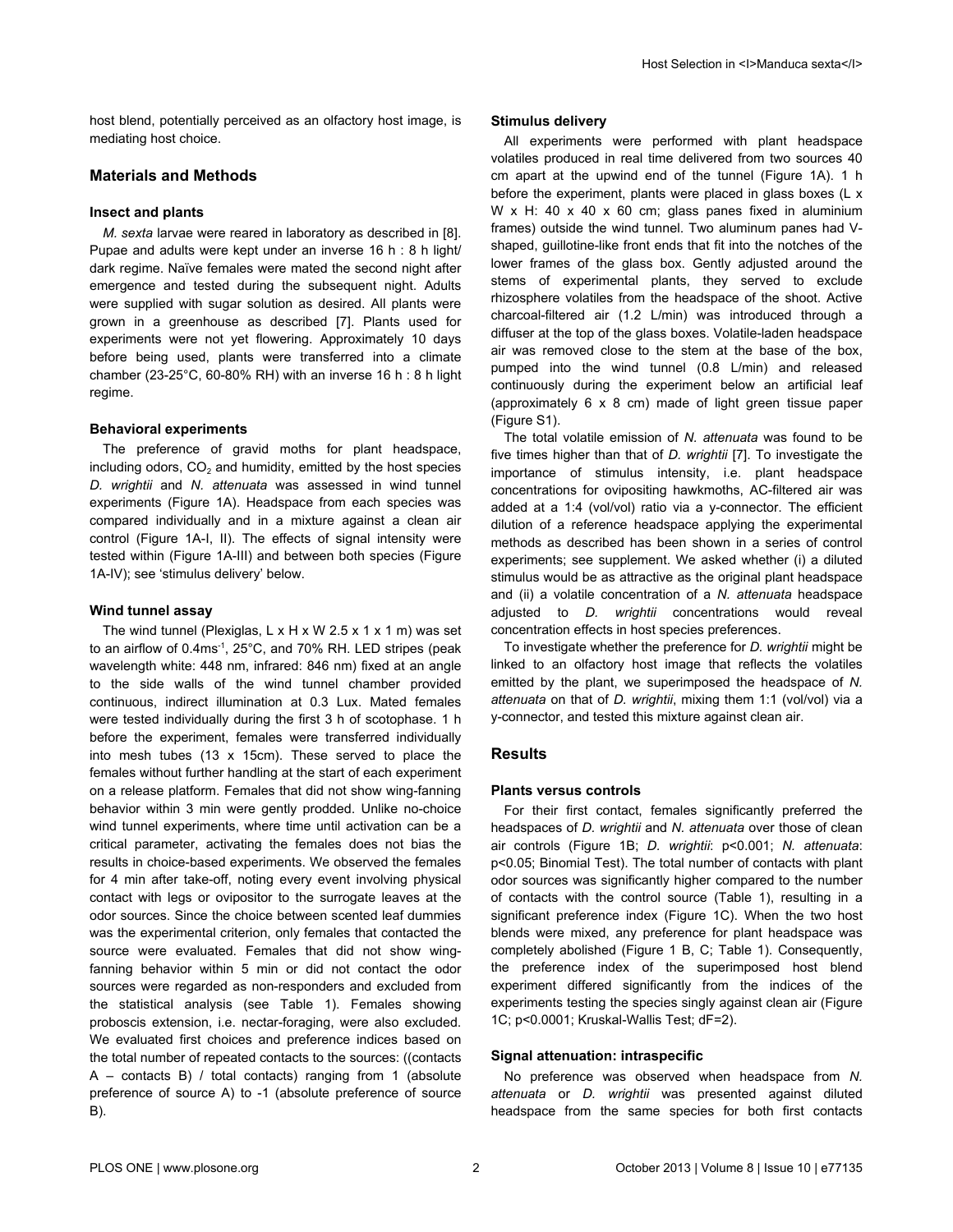host blend, potentially perceived as an olfactory host image, is mediating host choice.

# **Materials and Methods**

## **Insect and plants**

*M. sexta* larvae were reared in laboratory as described in [\[8\]](#page-5-0). Pupae and adults were kept under an inverse 16 h : 8 h light/ dark regime. Naïve females were mated the second night after emergence and tested during the subsequent night. Adults were supplied with sugar solution as desired. All plants were grown in a greenhouse as described [\[7](#page-5-0)]. Plants used for experiments were not yet flowering. Approximately 10 days before being used, plants were transferred into a climate chamber (23-25°C, 60-80% RH) with an inverse 16 h : 8 h light regime.

#### **Behavioral experiments**

The preference of gravid moths for plant headspace, including odors,  $CO<sub>2</sub>$  and humidity, emitted by the host species *D. wrightii* and *N. attenuata* was assessed in wind tunnel experiments ([Figure 1A](#page-2-0)). Headspace from each species was compared individually and in a mixture against a clean air control [\(Figure 1A-I, II](#page-2-0)). The effects of signal intensity were tested within ([Figure 1A-III](#page-2-0)) and between both species [\(Figure](#page-2-0) [1A-IV\)](#page-2-0); see 'stimulus delivery' below.

#### **Wind tunnel assay**

The wind tunnel (Plexiglas, L x H x W 2.5 x 1 x 1 m) was set to an airflow of 0.4ms-1, 25°C, and 70% RH. LED stripes (peak wavelength white: 448 nm, infrared: 846 nm) fixed at an angle to the side walls of the wind tunnel chamber provided continuous, indirect illumination at 0.3 Lux. Mated females were tested individually during the first 3 h of scotophase. 1 h before the experiment, females were transferred individually into mesh tubes (13 x 15cm). These served to place the females without further handling at the start of each experiment on a release platform. Females that did not show wing-fanning behavior within 3 min were gently prodded. Unlike no-choice wind tunnel experiments, where time until activation can be a critical parameter, activating the females does not bias the results in choice-based experiments. We observed the females for 4 min after take-off, noting every event involving physical contact with legs or ovipositor to the surrogate leaves at the odor sources. Since the choice between scented leaf dummies was the experimental criterion, only females that contacted the source were evaluated. Females that did not show wingfanning behavior within 5 min or did not contact the odor sources were regarded as non-responders and excluded from the statistical analysis (see [Table 1](#page-3-0)). Females showing proboscis extension, i.e. nectar-foraging, were also excluded. We evaluated first choices and preference indices based on the total number of repeated contacts to the sources: ((contacts A – contacts B) / total contacts) ranging from 1 (absolute preference of source A) to -1 (absolute preference of source B).

## **Stimulus delivery**

All experiments were performed with plant headspace volatiles produced in real time delivered from two sources 40 cm apart at the upwind end of the tunnel ([Figure 1A\)](#page-2-0). 1 h before the experiment, plants were placed in glass boxes (L x W x H: 40 x 40 x 60 cm; glass panes fixed in aluminium frames) outside the wind tunnel. Two aluminum panes had Vshaped, guillotine-like front ends that fit into the notches of the lower frames of the glass box. Gently adjusted around the stems of experimental plants, they served to exclude rhizosphere volatiles from the headspace of the shoot. Active charcoal-filtered air (1.2 L/min) was introduced through a diffuser at the top of the glass boxes. Volatile-laden headspace air was removed close to the stem at the base of the box, pumped into the wind tunnel (0.8 L/min) and released continuously during the experiment below an artificial leaf (approximately 6 x 8 cm) made of light green tissue paper [\(Figure S1](#page-4-0)).

The total volatile emission of *N. attenuata* was found to be five times higher than that of *D. wrightii* [\[7\]](#page-5-0). To investigate the importance of stimulus intensity, i.e. plant headspace concentrations for ovipositing hawkmoths, AC-filtered air was added at a 1:4 (vol/vol) ratio via a y-connector. The efficient dilution of a reference headspace applying the experimental methods as described has been shown in a series of control experiments; see supplement. We asked whether (i) a diluted stimulus would be as attractive as the original plant headspace and (ii) a volatile concentration of a *N. attenuata* headspace adjusted to *D. wrightii* concentrations would reveal concentration effects in host species preferences.

To investigate whether the preference for *D. wrightii* might be linked to an olfactory host image that reflects the volatiles emitted by the plant, we superimposed the headspace of *N. attenuata* on that of *D. wrightii*, mixing them 1:1 (vol/vol) via a y-connector, and tested this mixture against clean air.

#### **Results**

#### **Plants versus controls**

For their first contact, females significantly preferred the headspaces of *D. wrightii* and *N. attenuata* over those of clean air controls [\(Figure 1B](#page-2-0); *D. wrightii*: p<0.001; *N. attenuata*: p<0.05; Binomial Test). The total number of contacts with plant odor sources was significantly higher compared to the number of contacts with the control source ([Table 1](#page-3-0)), resulting in a significant preference index ([Figure 1C\)](#page-2-0). When the two host blends were mixed, any preference for plant headspace was completely abolished [\(Figure 1 B, C;](#page-2-0) [Table 1](#page-3-0)). Consequently, the preference index of the superimposed host blend experiment differed significantly from the indices of the experiments testing the species singly against clean air [\(Figure](#page-2-0) [1C](#page-2-0); p<0.0001; Kruskal-Wallis Test; dF=2).

#### **Signal attenuation: intraspecific**

No preference was observed when headspace from *N. attenuata* or *D. wrightii* was presented against diluted headspace from the same species for both first contacts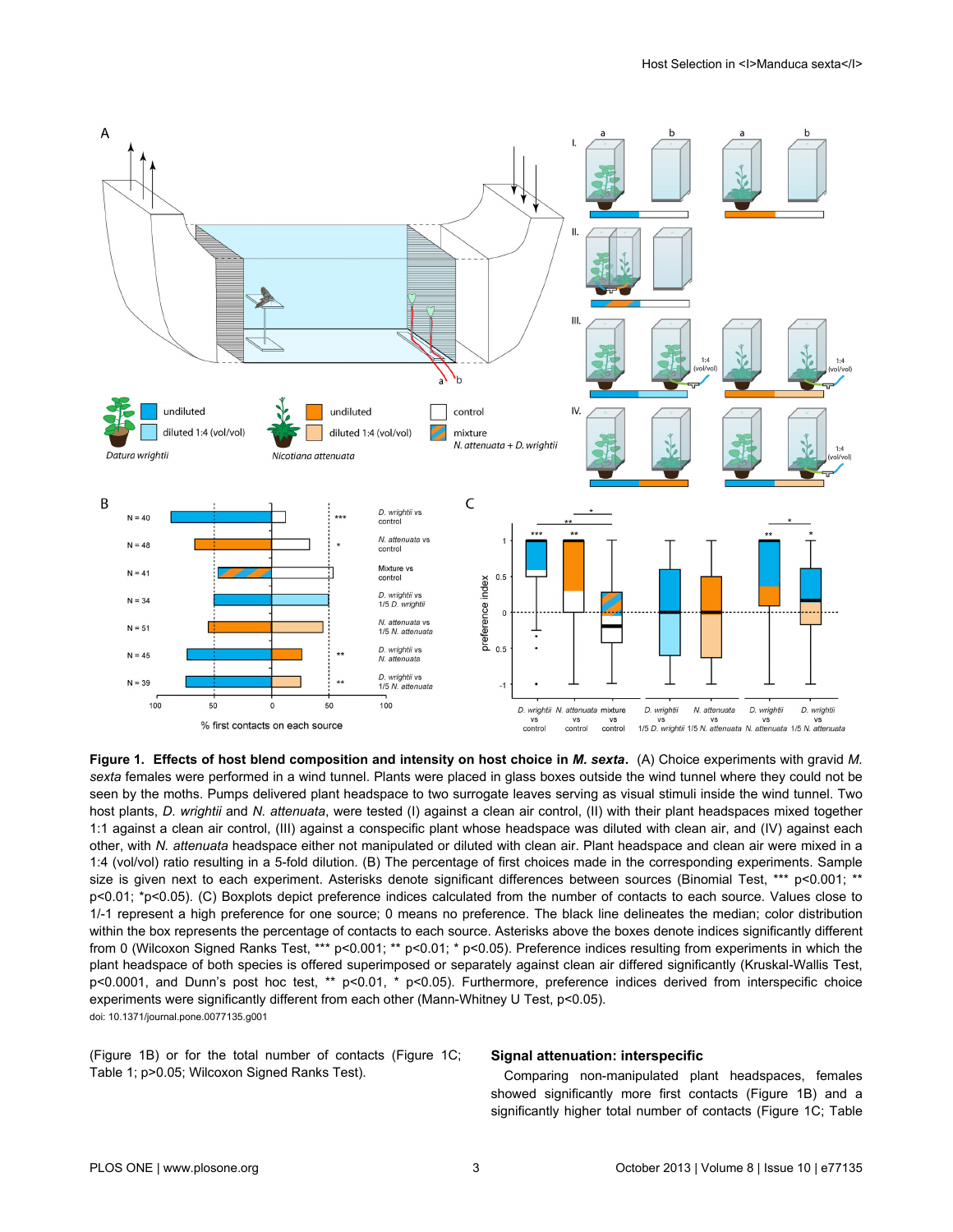<span id="page-2-0"></span>

**Figure 1. Effects of host blend composition and intensity on host choice in** *M. sexta***.** (A) Choice experiments with gravid *M. sexta* females were performed in a wind tunnel. Plants were placed in glass boxes outside the wind tunnel where they could not be seen by the moths. Pumps delivered plant headspace to two surrogate leaves serving as visual stimuli inside the wind tunnel. Two host plants, *D. wrightii* and *N. attenuata*, were tested (I) against a clean air control, (II) with their plant headspaces mixed together 1:1 against a clean air control, (III) against a conspecific plant whose headspace was diluted with clean air, and (IV) against each other, with *N. attenuata* headspace either not manipulated or diluted with clean air. Plant headspace and clean air were mixed in a 1:4 (vol/vol) ratio resulting in a 5-fold dilution. (B) The percentage of first choices made in the corresponding experiments. Sample size is given next to each experiment. Asterisks denote significant differences between sources (Binomial Test, \*\*\* p<0.001; \*\* p<0.01; \*p<0.05). (C) Boxplots depict preference indices calculated from the number of contacts to each source. Values close to 1/-1 represent a high preference for one source; 0 means no preference. The black line delineates the median; color distribution within the box represents the percentage of contacts to each source. Asterisks above the boxes denote indices significantly different from 0 (Wilcoxon Signed Ranks Test, \*\*\* p<0.001; \*\* p<0.01; \* p<0.05). Preference indices resulting from experiments in which the plant headspace of both species is offered superimposed or separately against clean air differed significantly (Kruskal-Wallis Test, p<0.0001, and Dunn's post hoc test, \*\* p<0.01, \* p<0.05). Furthermore, preference indices derived from interspecific choice experiments were significantly different from each other (Mann-Whitney U Test, p<0.05). doi: 10.1371/journal.pone.0077135.g001

(Figure 1B) or for the total number of contacts (Figure 1C; [Table 1;](#page-3-0) p>0.05; Wilcoxon Signed Ranks Test).

## **Signal attenuation: interspecific**

Comparing non-manipulated plant headspaces, females showed significantly more first contacts (Figure 1B) and a significantly higher total number of contacts (Figure 1C; [Table](#page-3-0)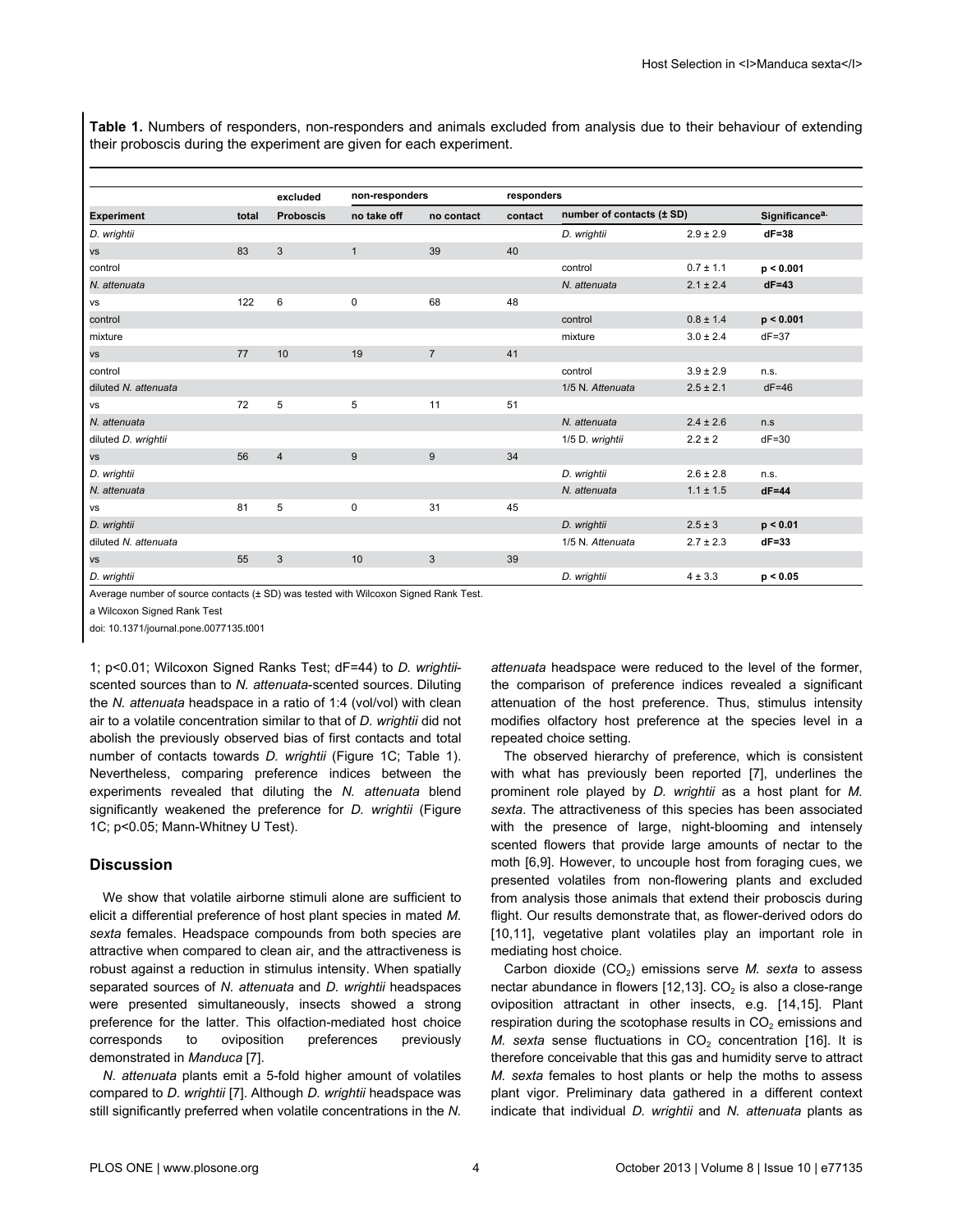<span id="page-3-0"></span>**Table 1.** Numbers of responders, non-responders and animals excluded from analysis due to their behaviour of extending their proboscis during the experiment are given for each experiment.

| <b>Experiment</b>    | total | excluded<br><b>Proboscis</b> | non-responders |                | responders |                           |               |                            |
|----------------------|-------|------------------------------|----------------|----------------|------------|---------------------------|---------------|----------------------------|
|                      |       |                              | no take off    | no contact     | contact    | number of contacts (± SD) |               | Significance <sup>a.</sup> |
| D. wrightii          |       |                              |                |                |            | D. wrightii               | $2.9 \pm 2.9$ | $dF = 38$                  |
| <b>VS</b>            | 83    | 3                            | $\mathbf{1}$   | 39             | 40         |                           |               |                            |
| control              |       |                              |                |                |            | control                   | $0.7 \pm 1.1$ | p < 0.001                  |
| N. attenuata         |       |                              |                |                |            | N. attenuata              | $2.1 \pm 2.4$ | $dF = 43$                  |
| vs                   | 122   | 6                            | $\mathbf 0$    | 68             | 48         |                           |               |                            |
| control              |       |                              |                |                |            | control                   | $0.8 \pm 1.4$ | p < 0.001                  |
| mixture              |       |                              |                |                |            | mixture                   | $3.0 \pm 2.4$ | $dF = 37$                  |
| <b>VS</b>            | 77    | 10                           | 19             | $\overline{7}$ | 41         |                           |               |                            |
| control              |       |                              |                |                |            | control                   | $3.9 \pm 2.9$ | n.s.                       |
| diluted N. attenuata |       |                              |                |                |            | 1/5 N. Attenuata          | $2.5 \pm 2.1$ | $dF = 46$                  |
| vs                   | 72    | $\overline{5}$               | 5              | 11             | 51         |                           |               |                            |
| N. attenuata         |       |                              |                |                |            | N. attenuata              | $2.4 \pm 2.6$ | n.s                        |
| diluted D. wrightii  |       |                              |                |                |            | 1/5 D. wrightii           | $2.2 \pm 2$   | $dF = 30$                  |
| <b>VS</b>            | 56    | $\overline{4}$               | 9              | 9              | 34         |                           |               |                            |
| D. wrightii          |       |                              |                |                |            | D. wrightii               | $2.6 \pm 2.8$ | n.s.                       |
| N. attenuata         |       |                              |                |                |            | N. attenuata              | $1.1 \pm 1.5$ | $dF = 44$                  |
| vs                   | 81    | 5                            | $\mathbf 0$    | 31             | 45         |                           |               |                            |
| D. wrightii          |       |                              |                |                |            | D. wrightii               | $2.5 \pm 3$   | p < 0.01                   |
| diluted N. attenuata |       |                              |                |                |            | 1/5 N. Attenuata          | $2.7 \pm 2.3$ | $dF = 33$                  |
| VS                   | 55    | 3                            | 10             | 3              | 39         |                           |               |                            |
| D. wrightii          |       |                              |                |                |            | D. wrightii               | $4 \pm 3.3$   | p < 0.05                   |

Average number of source contacts (± SD) was tested with Wilcoxon Signed Rank Test.

a Wilcoxon Signed Rank Test

doi: 10.1371/journal.pone.0077135.t001

1; p<0.01; Wilcoxon Signed Ranks Test; dF=44) to *D. wrightii*scented sources than to *N. attenuata*-scented sources. Diluting the *N. attenuata* headspace in a ratio of 1:4 (vol/vol) with clean air to a volatile concentration similar to that of *D. wrightii* did not abolish the previously observed bias of first contacts and total number of contacts towards *D. wrightii* [\(Figure 1C](#page-2-0); Table 1). Nevertheless, comparing preference indices between the experiments revealed that diluting the *N. attenuata* blend significantly weakened the preference for *D. wrightii* [\(Figure](#page-2-0) [1C](#page-2-0); p<0.05; Mann-Whitney U Test).

## **Discussion**

We show that volatile airborne stimuli alone are sufficient to elicit a differential preference of host plant species in mated *M. sexta* females. Headspace compounds from both species are attractive when compared to clean air, and the attractiveness is robust against a reduction in stimulus intensity. When spatially separated sources of *N. attenuata* and *D. wrightii* headspaces were presented simultaneously, insects showed a strong preference for the latter. This olfaction-mediated host choice corresponds to oviposition preferences previously demonstrated in *Manduca* [[7](#page-5-0)].

*N. attenuata* plants emit a 5-fold higher amount of volatiles compared to *D. wrightii* [[7](#page-5-0)]. Although *D. wrightii* headspace was still significantly preferred when volatile concentrations in the *N.* *attenuata* headspace were reduced to the level of the former, the comparison of preference indices revealed a significant attenuation of the host preference. Thus, stimulus intensity modifies olfactory host preference at the species level in a repeated choice setting.

The observed hierarchy of preference, which is consistent with what has previously been reported [[7\]](#page-5-0), underlines the prominent role played by *D. wrightii* as a host plant for *M. sexta*. The attractiveness of this species has been associated with the presence of large, night-blooming and intensely scented flowers that provide large amounts of nectar to the moth [[6,9\]](#page-5-0). However, to uncouple host from foraging cues, we presented volatiles from non-flowering plants and excluded from analysis those animals that extend their proboscis during flight. Our results demonstrate that, as flower-derived odors do [[10](#page-5-0),[11](#page-5-0)], vegetative plant volatiles play an important role in mediating host choice.

Carbon dioxide (CO<sub>2</sub>) emissions serve *M. sexta* to assess nectar abundance in flowers [\[12,13](#page-5-0)]. CO<sub>2</sub> is also a close-range oviposition attractant in other insects, e.g. [\[14,15\]](#page-5-0). Plant respiration during the scotophase results in CO<sub>2</sub> emissions and *M.* sexta sense fluctuations in  $CO<sub>2</sub>$  concentration [[16](#page-5-0)]. It is therefore conceivable that this gas and humidity serve to attract *M. sexta* females to host plants or help the moths to assess plant vigor. Preliminary data gathered in a different context indicate that individual *D. wrightii* and *N. attenuata* plants as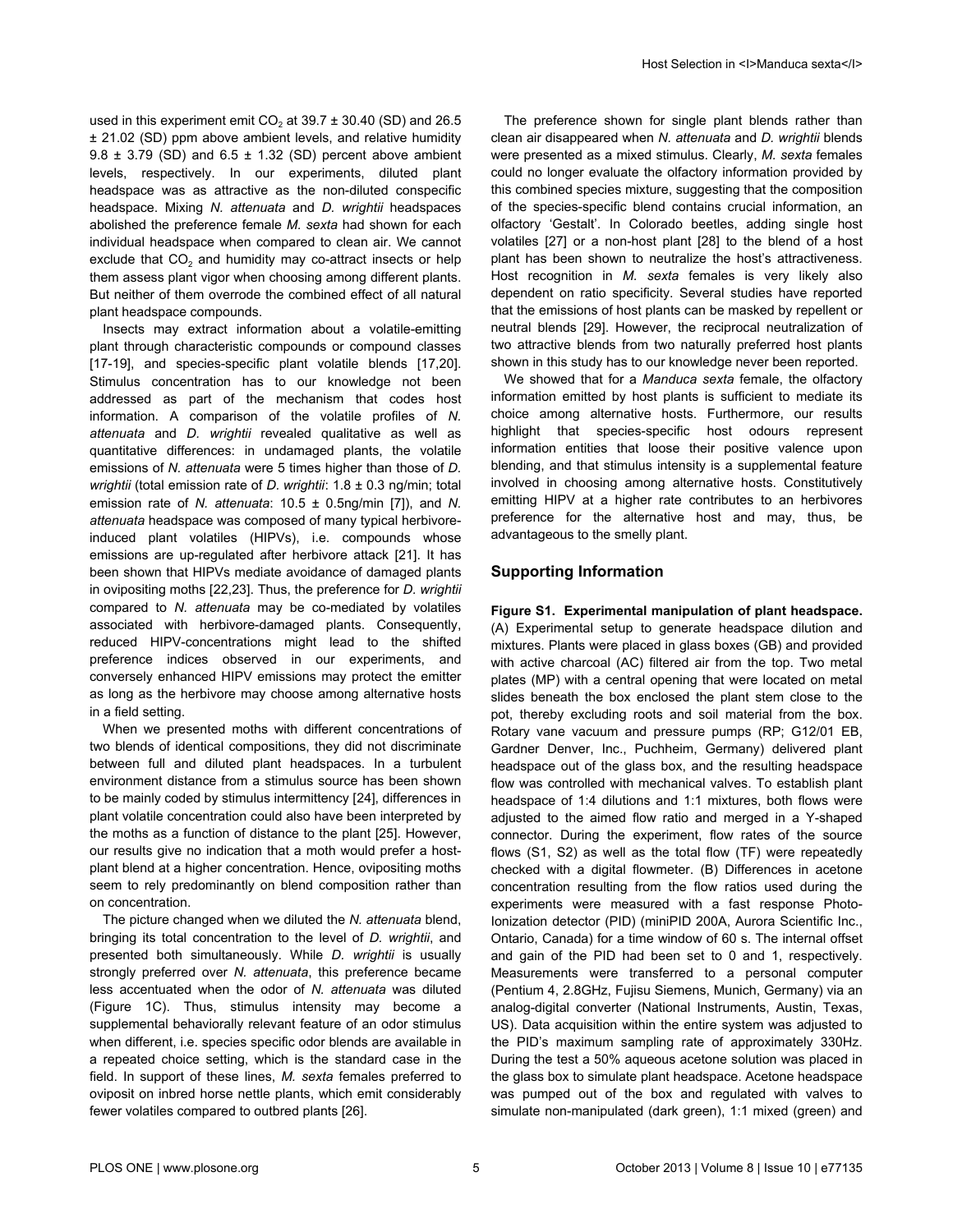<span id="page-4-0"></span>used in this experiment emit  $CO<sub>2</sub>$  at 39.7  $\pm$  30.40 (SD) and 26.5 ± 21.02 (SD) ppm above ambient levels, and relative humidity  $9.8 \pm 3.79$  (SD) and  $6.5 \pm 1.32$  (SD) percent above ambient levels, respectively. In our experiments, diluted plant headspace was as attractive as the non-diluted conspecific headspace. Mixing *N. attenuata* and *D. wrightii* headspaces abolished the preference female *M. sexta* had shown for each individual headspace when compared to clean air. We cannot exclude that  $CO<sub>2</sub>$  and humidity may co-attract insects or help them assess plant vigor when choosing among different plants. But neither of them overrode the combined effect of all natural plant headspace compounds.

Insects may extract information about a volatile-emitting plant through characteristic compounds or compound classes [[17-19\]](#page-5-0), and species-specific plant volatile blends [[17,20\]](#page-5-0). Stimulus concentration has to our knowledge not been addressed as part of the mechanism that codes host information. A comparison of the volatile profiles of *N. attenuata* and *D. wrightii* revealed qualitative as well as quantitative differences: in undamaged plants, the volatile emissions of *N. attenuata* were 5 times higher than those of *D. wrightii* (total emission rate of *D. wrightii*: 1.8 ± 0.3 ng/min; total emission rate of *N. attenuata*: 10.5 ± 0.5ng/min [\[7\]](#page-5-0)), and *N. attenuata* headspace was composed of many typical herbivoreinduced plant volatiles (HIPVs), i.e. compounds whose emissions are up-regulated after herbivore attack [\[21\]](#page-5-0). It has been shown that HIPVs mediate avoidance of damaged plants in ovipositing moths [[22,23\]](#page-5-0). Thus, the preference for *D. wrightii* compared to *N. attenuata* may be co-mediated by volatiles associated with herbivore-damaged plants. Consequently, reduced HIPV-concentrations might lead to the shifted preference indices observed in our experiments, and conversely enhanced HIPV emissions may protect the emitter as long as the herbivore may choose among alternative hosts in a field setting.

When we presented moths with different concentrations of two blends of identical compositions, they did not discriminate between full and diluted plant headspaces. In a turbulent environment distance from a stimulus source has been shown to be mainly coded by stimulus intermittency [\[24\]](#page-5-0), differences in plant volatile concentration could also have been interpreted by the moths as a function of distance to the plant [[25\]](#page-5-0). However, our results give no indication that a moth would prefer a hostplant blend at a higher concentration. Hence, ovipositing moths seem to rely predominantly on blend composition rather than on concentration.

The picture changed when we diluted the *N. attenuata* blend, bringing its total concentration to the level of *D. wrightii*, and presented both simultaneously. While *D. wrightii* is usually strongly preferred over *N. attenuata*, this preference became less accentuated when the odor of *N. attenuata* was diluted [\(Figure 1C](#page-2-0)). Thus, stimulus intensity may become a supplemental behaviorally relevant feature of an odor stimulus when different, i.e. species specific odor blends are available in a repeated choice setting, which is the standard case in the field. In support of these lines, *M. sexta* females preferred to oviposit on inbred horse nettle plants, which emit considerably fewer volatiles compared to outbred plants [\[26](#page-5-0)].

The preference shown for single plant blends rather than clean air disappeared when *N. attenuata* and *D. wrightii* blends were presented as a mixed stimulus. Clearly, *M. sexta* females could no longer evaluate the olfactory information provided by this combined species mixture, suggesting that the composition of the species-specific blend contains crucial information, an olfactory 'Gestalt'. In Colorado beetles, adding single host volatiles [[27](#page-5-0)] or a non-host plant [[28](#page-5-0)] to the blend of a host plant has been shown to neutralize the host's attractiveness. Host recognition in *M. sexta* females is very likely also dependent on ratio specificity. Several studies have reported that the emissions of host plants can be masked by repellent or neutral blends [\[29\]](#page-5-0). However, the reciprocal neutralization of two attractive blends from two naturally preferred host plants shown in this study has to our knowledge never been reported.

We showed that for a *Manduca sexta* female, the olfactory information emitted by host plants is sufficient to mediate its choice among alternative hosts. Furthermore, our results highlight that species-specific host odours represent information entities that loose their positive valence upon blending, and that stimulus intensity is a supplemental feature involved in choosing among alternative hosts. Constitutively emitting HIPV at a higher rate contributes to an herbivores preference for the alternative host and may, thus, be advantageous to the smelly plant.

# **Supporting Information**

**Figure S1. Experimental manipulation of plant headspace.** (A) Experimental setup to generate headspace dilution and mixtures. Plants were placed in glass boxes (GB) and provided with active charcoal (AC) filtered air from the top. Two metal plates (MP) with a central opening that were located on metal slides beneath the box enclosed the plant stem close to the pot, thereby excluding roots and soil material from the box. Rotary vane vacuum and pressure pumps (RP; G12/01 EB, Gardner Denver, Inc., Puchheim, Germany) delivered plant headspace out of the glass box, and the resulting headspace flow was controlled with mechanical valves. To establish plant headspace of 1:4 dilutions and 1:1 mixtures, both flows were adjusted to the aimed flow ratio and merged in a Y-shaped connector. During the experiment, flow rates of the source flows (S1, S2) as well as the total flow (TF) were repeatedly checked with a digital flowmeter. (B) Differences in acetone concentration resulting from the flow ratios used during the experiments were measured with a fast response Photo-Ionization detector (PID) (miniPID 200A, Aurora Scientific Inc., Ontario, Canada) for a time window of 60 s. The internal offset and gain of the PID had been set to 0 and 1, respectively. Measurements were transferred to a personal computer (Pentium 4, 2.8GHz, Fujisu Siemens, Munich, Germany) via an analog-digital converter (National Instruments, Austin, Texas, US). Data acquisition within the entire system was adjusted to the PID's maximum sampling rate of approximately 330Hz. During the test a 50% aqueous acetone solution was placed in the glass box to simulate plant headspace. Acetone headspace was pumped out of the box and regulated with valves to simulate non-manipulated (dark green), 1:1 mixed (green) and